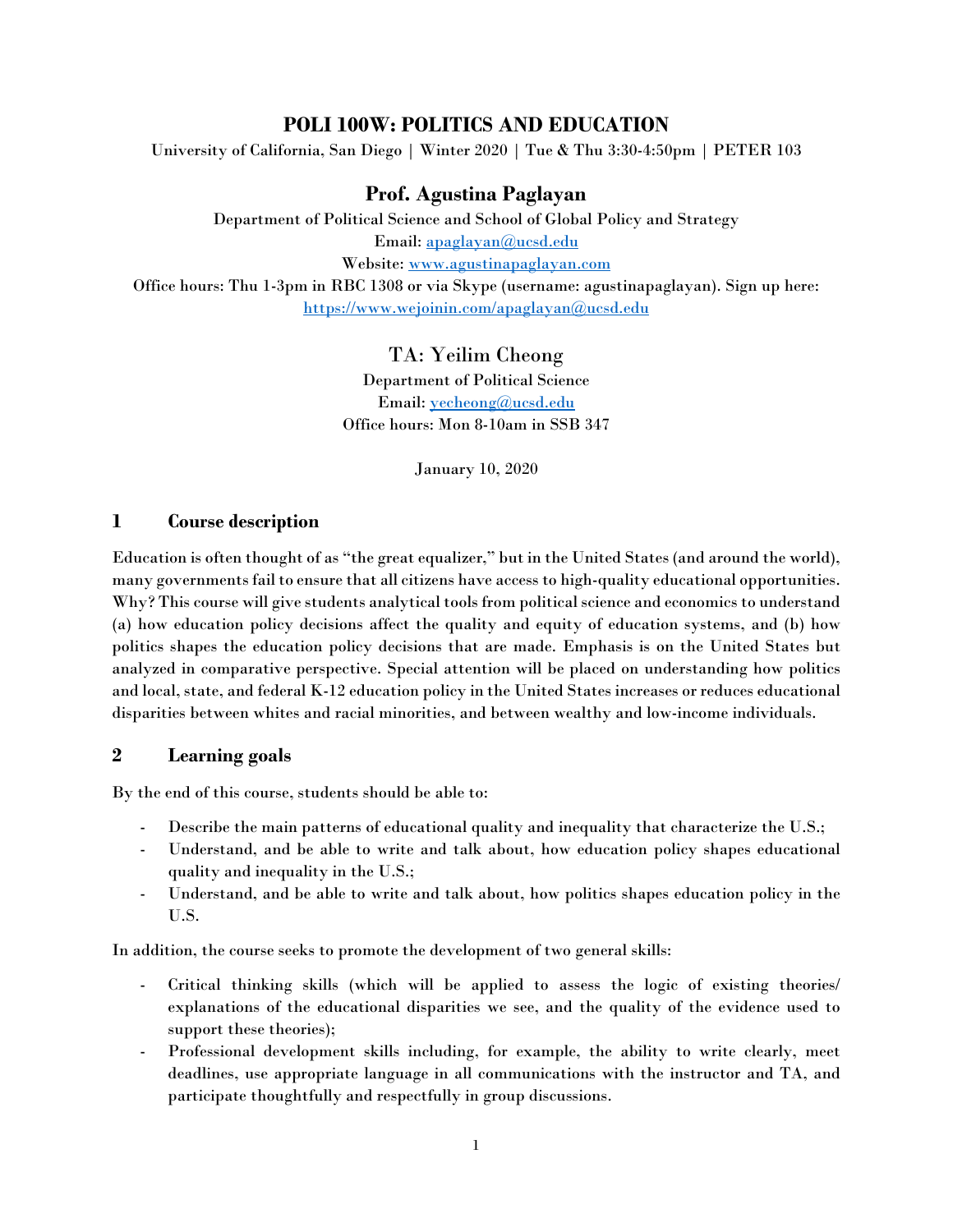# **POLI 100W: POLITICS AND EDUCATION**

University of California, San Diego | Winter 2020 | Tue & Thu 3:30-4:50pm | PETER 103

# **Prof. Agustina Paglayan**

Department of Political Science and School of Global Policy and Strategy Email: [apaglayan@ucsd.edu](mailto:apaglayan@ucsd.edu) Website: [www.agustinapaglayan.com](http://www.agustinapaglayan.com/) Office hours: Thu 1-3pm in RBC 1308 or via Skype (username: agustinapaglayan). Sign up here: <https://www.wejoinin.com/apaglayan@ucsd.edu>

## TA: Yeilim Cheong

Department of Political Science Email: *yecheong@ucsd.edu* Office hours: Mon 8-10am in SSB 347

January 10, 2020

## **1 Course description**

Education is often thought of as "the great equalizer," but in the United States (and around the world), many governments fail to ensure that all citizens have access to high-quality educational opportunities. Why? This course will give students analytical tools from political science and economics to understand (a) how education policy decisions affect the quality and equity of education systems, and (b) how politics shapes the education policy decisions that are made. Emphasis is on the United States but analyzed in comparative perspective. Special attention will be placed on understanding how politics and local, state, and federal K-12 education policy in the United States increases or reduces educational disparities between whites and racial minorities, and between wealthy and low-income individuals.

## **2 Learning goals**

By the end of this course, students should be able to:

- Describe the main patterns of educational quality and inequality that characterize the U.S.;
- Understand, and be able to write and talk about, how education policy shapes educational quality and inequality in the U.S.;
- Understand, and be able to write and talk about, how politics shapes education policy in the U.S.

In addition, the course seeks to promote the development of two general skills:

- Critical thinking skills (which will be applied to assess the logic of existing theories/ explanations of the educational disparities we see, and the quality of the evidence used to support these theories);
- Professional development skills including, for example, the ability to write clearly, meet deadlines, use appropriate language in all communications with the instructor and TA, and participate thoughtfully and respectfully in group discussions.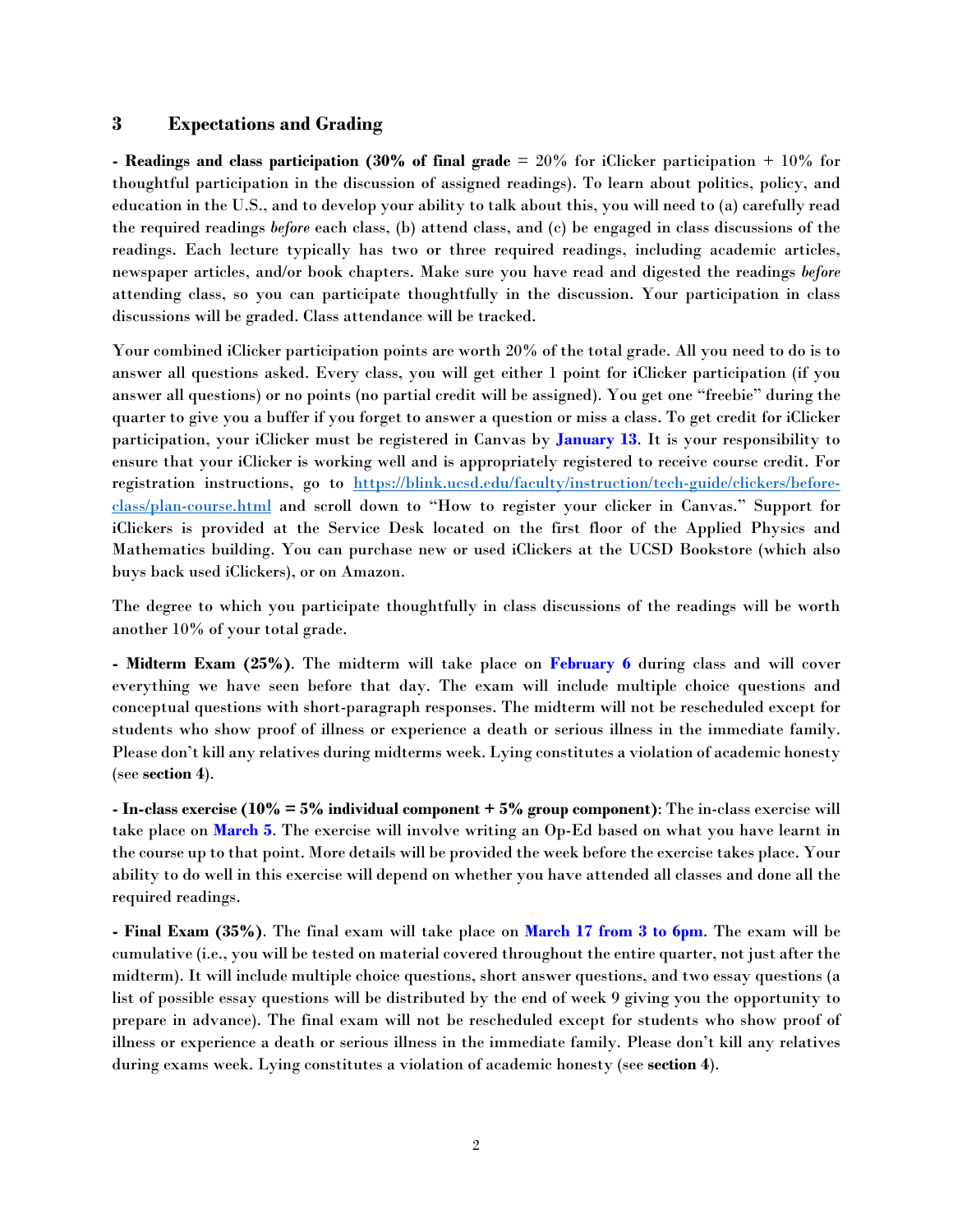#### **3 Expectations and Grading**

**- Readings and class participation (30% of final grade** = 20% for iClicker participation + 10% for thoughtful participation in the discussion of assigned readings). To learn about politics, policy, and education in the U.S., and to develop your ability to talk about this, you will need to (a) carefully read the required readings *before* each class, (b) attend class, and (c) be engaged in class discussions of the readings. Each lecture typically has two or three required readings, including academic articles, newspaper articles, and/or book chapters. Make sure you have read and digested the readings *before* attending class, so you can participate thoughtfully in the discussion. Your participation in class discussions will be graded. Class attendance will be tracked.

Your combined iClicker participation points are worth 20% of the total grade. All you need to do is to answer all questions asked. Every class, you will get either 1 point for iClicker participation (if you answer all questions) or no points (no partial credit will be assigned). You get one "freebie" during the quarter to give you a buffer if you forget to answer a question or miss a class. To get credit for iClicker participation, your iClicker must be registered in Canvas by **January 13**. It is your responsibility to ensure that your iClicker is working well and is appropriately registered to receive course credit. For registration instructions, go to [https://blink.ucsd.edu/faculty/instruction/tech-guide/clickers/before](https://blink.ucsd.edu/faculty/instruction/tech-guide/clickers/before-class/plan-course.html)[class/plan-course.html](https://blink.ucsd.edu/faculty/instruction/tech-guide/clickers/before-class/plan-course.html) and scroll down to "How to register your clicker in Canvas." Support for iClickers is provided at the Service Desk located on the first floor of the Applied Physics and Mathematics building. You can purchase new or used iClickers at the UCSD Bookstore (which also buys back used iClickers), or on Amazon.

The degree to which you participate thoughtfully in class discussions of the readings will be worth another 10% of your total grade.

**- Midterm Exam (25%)**. The midterm will take place on **February 6** during class and will cover everything we have seen before that day. The exam will include multiple choice questions and conceptual questions with short-paragraph responses. The midterm will not be rescheduled except for students who show proof of illness or experience a death or serious illness in the immediate family. Please don't kill any relatives during midterms week. Lying constitutes a violation of academic honesty (see **section 4**).

**- In-class exercise (10% = 5% individual component + 5% group component)**: The in-class exercise will take place on **March 5**. The exercise will involve writing an Op-Ed based on what you have learnt in the course up to that point. More details will be provided the week before the exercise takes place. Your ability to do well in this exercise will depend on whether you have attended all classes and done all the required readings.

**- Final Exam (35%)**. The final exam will take place on **March 17 from 3 to 6pm**. The exam will be cumulative (i.e., you will be tested on material covered throughout the entire quarter, not just after the midterm). It will include multiple choice questions, short answer questions, and two essay questions (a list of possible essay questions will be distributed by the end of week 9 giving you the opportunity to prepare in advance). The final exam will not be rescheduled except for students who show proof of illness or experience a death or serious illness in the immediate family. Please don't kill any relatives during exams week. Lying constitutes a violation of academic honesty (see **section 4**).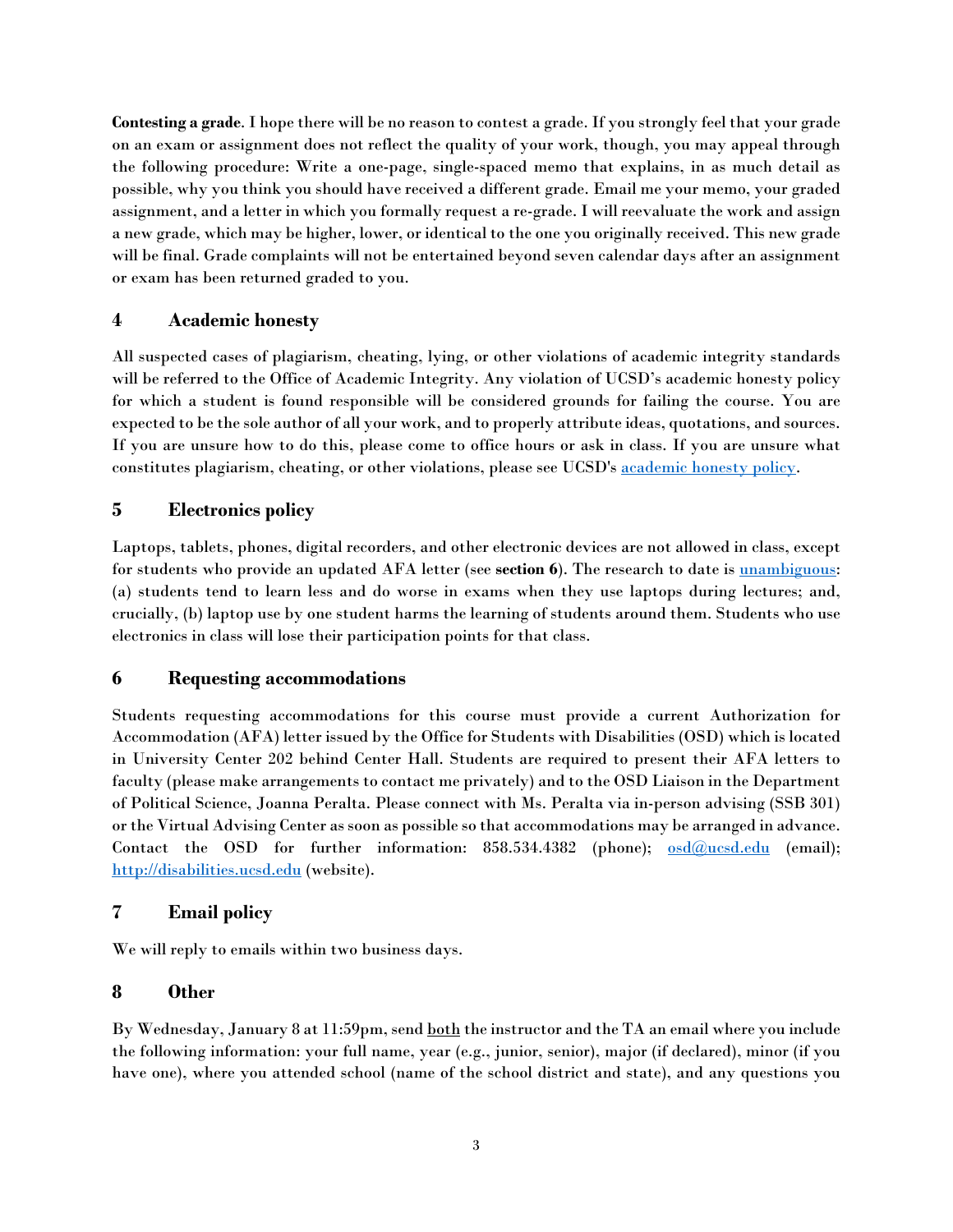**Contesting a grade**. I hope there will be no reason to contest a grade. If you strongly feel that your grade on an exam or assignment does not reflect the quality of your work, though, you may appeal through the following procedure: Write a one-page, single-spaced memo that explains, in as much detail as possible, why you think you should have received a different grade. Email me your memo, your graded assignment, and a letter in which you formally request a re-grade. I will reevaluate the work and assign a new grade, which may be higher, lower, or identical to the one you originally received. This new grade will be final. Grade complaints will not be entertained beyond seven calendar days after an assignment or exam has been returned graded to you.

# **4 Academic honesty**

All suspected cases of plagiarism, cheating, lying, or other violations of academic integrity standards will be referred to the Office of Academic Integrity. Any violation of UCSD's academic honesty policy for which a student is found responsible will be considered grounds for failing the course. You are expected to be the sole author of all your work, and to properly attribute ideas, quotations, and sources. If you are unsure how to do this, please come to office hours or ask in class. If you are unsure what constitutes plagiarism, cheating, or other violations, please see UCSD's [academic honesty policy.](http://academicintegrity.ucsd.edu/)

# **5 Electronics policy**

Laptops, tablets, phones, digital recorders, and other electronic devices are not allowed in class, except for students who provide an updated AFA letter (see **section 6**). The research to date is [unambiguous:](https://www.nytimes.com/2017/11/22/business/laptops-not-during-lecture-or-meeting.html) (a) students tend to learn less and do worse in exams when they use laptops during lectures; and, crucially, (b) laptop use by one student harms the learning of students around them. Students who use electronics in class will lose their participation points for that class.

## **6 Requesting accommodations**

Students requesting accommodations for this course must provide a current Authorization for Accommodation (AFA) letter issued by the Office for Students with Disabilities (OSD) which is located in University Center 202 behind Center Hall. Students are required to present their AFA letters to faculty (please make arrangements to contact me privately) and to the OSD Liaison in the Department of Political Science, Joanna Peralta. Please connect with Ms. Peralta via in-person advising (SSB 301) or the Virtual Advising Center as soon as possible so that accommodations may be arranged in advance. Contact the OSD for further information:  $858.534.4382$  (phone);  $\text{osd@ucsd.edu}$  $\text{osd@ucsd.edu}$  $\text{osd@ucsd.edu}$  (email); [http://disabilities.ucsd.edu](http://disabilities.ucsd.edu/) (website).

# **7 Email policy**

We will reply to emails within two business days.

## **8 Other**

By Wednesday, January 8 at 11:59pm, send both the instructor and the TA an email where you include the following information: your full name, year (e.g., junior, senior), major (if declared), minor (if you have one), where you attended school (name of the school district and state), and any questions you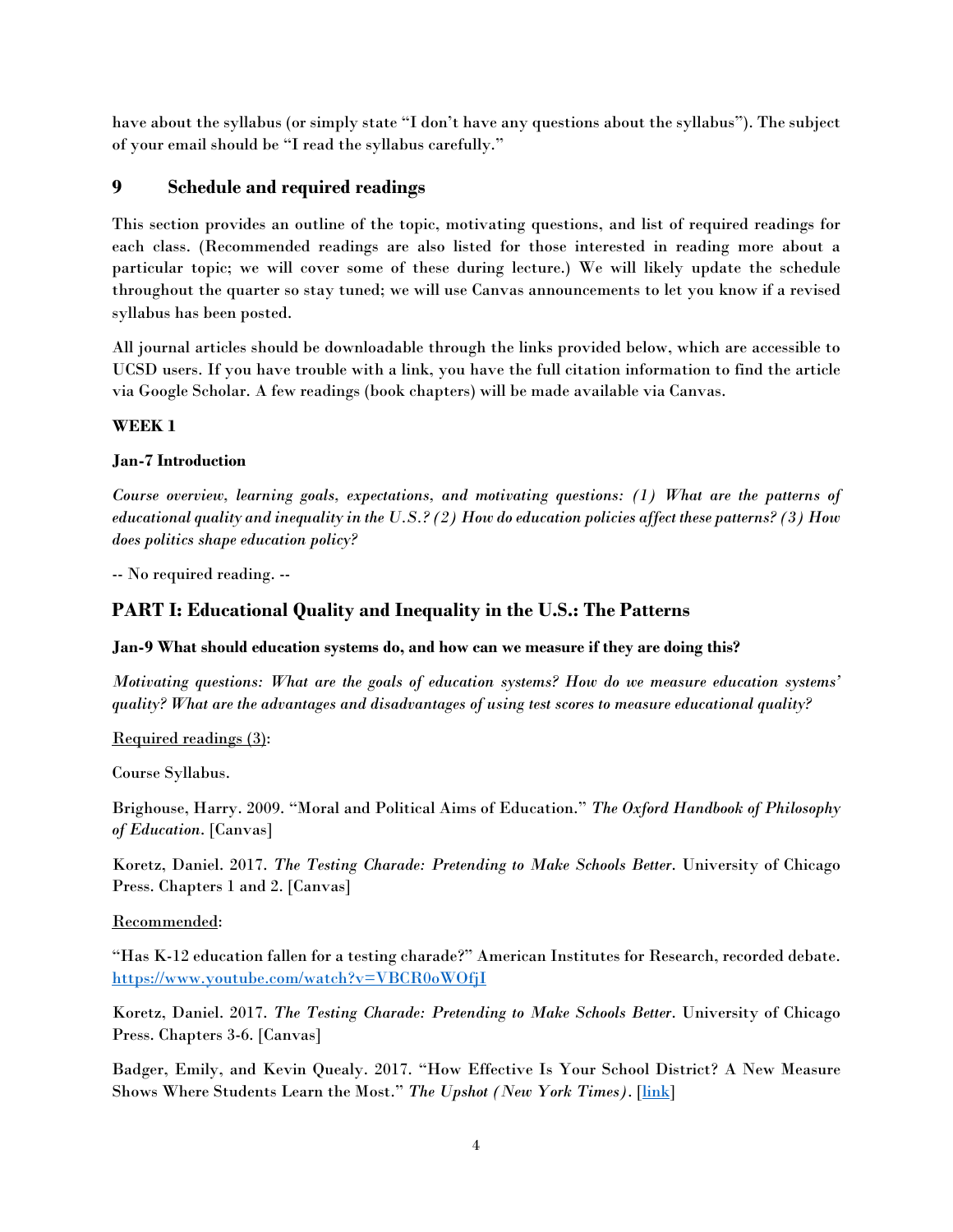have about the syllabus (or simply state "I don't have any questions about the syllabus"). The subject of your email should be "I read the syllabus carefully."

# **9 Schedule and required readings**

This section provides an outline of the topic, motivating questions, and list of required readings for each class. (Recommended readings are also listed for those interested in reading more about a particular topic; we will cover some of these during lecture.) We will likely update the schedule throughout the quarter so stay tuned; we will use Canvas announcements to let you know if a revised syllabus has been posted.

All journal articles should be downloadable through the links provided below, which are accessible to UCSD users. If you have trouble with a link, you have the full citation information to find the article via Google Scholar. A few readings (book chapters) will be made available via Canvas.

## **WEEK 1**

## **Jan-7 Introduction**

*Course overview, learning goals, expectations, and motivating questions: (1) What are the patterns of educational quality and inequality in the U.S.? (2) How do education policies affect these patterns? (3) How does politics shape education policy?*

-- No required reading. --

# **PART I: Educational Quality and Inequality in the U.S.: The Patterns**

### **Jan-9 What should education systems do, and how can we measure if they are doing this?**

*Motivating questions: What are the goals of education systems? How do we measure education systems' quality? What are the advantages and disadvantages of using test scores to measure educational quality?* 

Required readings (3):

Course Syllabus.

Brighouse, Harry. 2009. "Moral and Political Aims of Education." *The Oxford Handbook of Philosophy of Education*. [Canvas]

Koretz, Daniel. 2017. *The Testing Charade: Pretending to Make Schools Better*. University of Chicago Press. Chapters 1 and 2. [Canvas]

Recommended:

"Has K-12 education fallen for a testing charade?" American Institutes for Research, recorded debate. <https://www.youtube.com/watch?v=VBCR0oWOfjI>

Koretz, Daniel. 2017. *The Testing Charade: Pretending to Make Schools Better*. University of Chicago Press. Chapters 3-6. [Canvas]

Badger, Emily, and Kevin Quealy. 2017. "How Effective Is Your School District? A New Measure Shows Where Students Learn the Most." *The Upshot (New York Times)*. [\[link\]](https://www.nytimes.com/interactive/2017/12/05/upshot/a-better-way-to-compare-public-schools.html)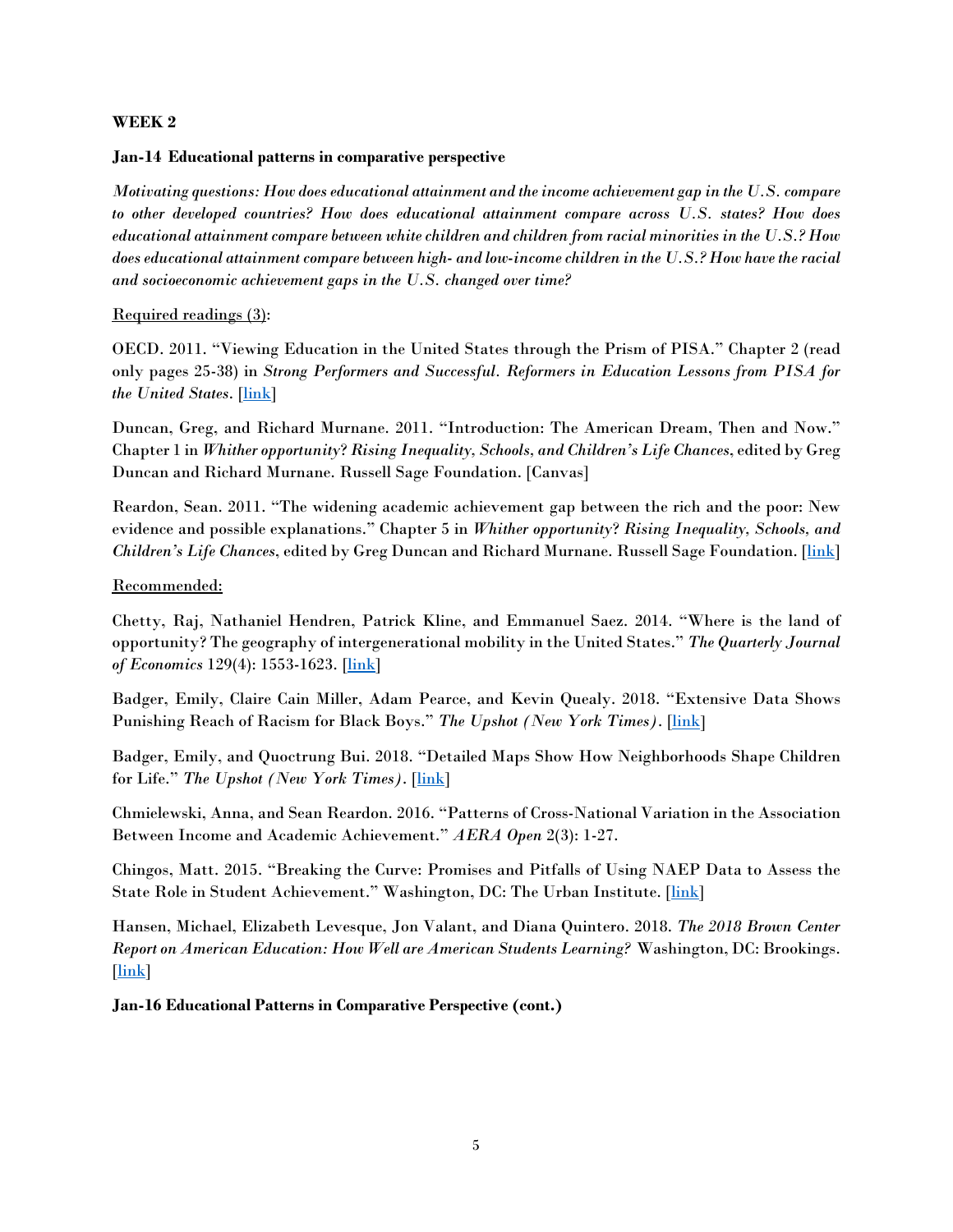#### **WEEK 2**

#### **Jan-14 Educational patterns in comparative perspective**

*Motivating questions: How does educational attainment and the income achievement gap in the U.S. compare to other developed countries? How does educational attainment compare across U.S. states? How does educational attainment compare between white children and children from racial minorities in the U.S.? How does educational attainment compare between high- and low-income children in the U.S.? How have the racial and socioeconomic achievement gaps in the U.S. changed over time?*

### Required readings (3):

OECD. 2011. "Viewing Education in the United States through the Prism of PISA." Chapter 2 (read only pages 25-38) in *Strong Performers and Successful. Reformers in Education Lessons from PISA for the United States*. [\[link\]](https://www.oecd.org/pisa/46623978.pdf)

Duncan, Greg, and Richard Murnane. 2011. "Introduction: The American Dream, Then and Now." Chapter 1 in *Whither opportunity*? *Rising Inequality, Schools, and Children's Life Chances*, edited by Greg Duncan and Richard Murnane. Russell Sage Foundation. [Canvas]

Reardon, Sean. 2011. "The widening academic achievement gap between the rich and the poor: New evidence and possible explanations." Chapter 5 in *Whither opportunity*? *Rising Inequality, Schools, and Children's Life Chances*, edited by Greg Duncan and Richard Murnane. Russell Sage Foundation. [\[link\]](https://cepa.stanford.edu/sites/default/files/reardon%20whither%20opportunity%20-%20chapter%205.pdf)

#### Recommended:

Chetty, Raj, Nathaniel Hendren, Patrick Kline, and Emmanuel Saez. 2014. "Where is the land of opportunity? The geography of intergenerational mobility in the United States." *The Quarterly Journal of Economics* 129(4): 1553-1623. [\[link\]](https://watermark.silverchair.com/qju022.pdf?token=AQECAHi208BE49Ooan9kkhW_Ercy7Dm3ZL_9Cf3qfKAc485ysgAAAk0wggJJBgkqhkiG9w0BBwagggI6MIICNgIBADCCAi8GCSqGSIb3DQEHATAeBglghkgBZQMEAS4wEQQM40LuBBdnLIR2j_sPAgEQgIICAKW_Hhpv7-g10Fc4T8KUPNZ7b1Yc8ewEpRQaCjGffHdxODTCAZR54eQq5XPCJkWQKXTpw1pjASU2IM9c0uJKsuHkcKbrfBw9g0wBlVrqLJ5pV72tubFPL6rqezX_DRZ6CfHmeublDCnr1egAfqtVWvAZW1iBt_U9f_c7_X8BP-VO5z3XVT5LK1XYlNKC2lKUNxnqrSOBIIvhBcFcW5Tm9zFsIBhmL37PHRragKwqydeJ45Ul9lY3zU0oUXL3XzK74-ZZYesJighrkJF29vcZXawGgplJDuPnCpVFkzxpie7O9raaFkci1CnTaQ_9MV6kN3QAYZ1XlCE5lVxWZAOoqqMqm2q9elGypvFYKlpIgtBZxKocat1jjyZUnr38xbTguuSrGM8jMhDx8oHsmWhMe3bytx9NWwuISxHrlRvrSxxA9YoVPOpMtVrUnpbEHP5p97MLWTene2I8xnBBRL8cEXEitsMcwm3EzkBfKDiVxINgqampeePWz24D_HgPoK_IilInt7EOFkaxAQNzFi3hZb_yu7p62jXyjN4PSROgQvKKDPZcv_kda3JI3fV9BCth_GIXgPkJQalu7jALVPv4rzeOn56ZL7jwzPcdglASaMUHzmM4kHaUEoYG3z-YvT5NKYPB-CQwVzYQOeAR5w0lyJdHFgpEbqR-IM9naTUl3qqW)

Badger, Emily, Claire Cain Miller, Adam Pearce, and Kevin Quealy. 2018. "Extensive Data Shows Punishing Reach of Racism for Black Boys." *The Upshot (New York Times)*. [\[link\]](https://www.nytimes.com/interactive/2018/03/19/upshot/race-class-white-and-black-men.html)

Badger, Emily, and Quoctrung Bui. 2018. "Detailed Maps Show How Neighborhoods Shape Children for Life." *The Upshot (New York Times)*. [\[link\]](https://www.nytimes.com/2018/10/01/upshot/maps-neighborhoods-shape-child-poverty.html)

Chmielewski, Anna, and Sean Reardon. 2016. "Patterns of Cross-National Variation in the Association Between Income and Academic Achievement." *AERA Open* 2(3): 1-27.

Chingos, Matt. 2015. "Breaking the Curve: Promises and Pitfalls of Using NAEP Data to Assess the State Role in Student Achievement." Washington, DC: The Urban Institute. [\[link\]](https://www.urban.org/sites/default/files/publication/72411/2000484-breaking-the-curve-promises-and-pitfalls-of-using-naep-data-to-assess-the-state-role-in-student-achievement.pdf)

Hansen, Michael, Elizabeth Levesque, Jon Valant, and Diana Quintero. 2018. *The 2018 Brown Center Report on American Education: How Well are American Students Learning?* Washington, DC: Brookings. [\[link\]](https://www.brookings.edu/multi-chapter-report/the-2018-brown-center-report-on-american-education/)

**Jan-16 Educational Patterns in Comparative Perspective (cont.)**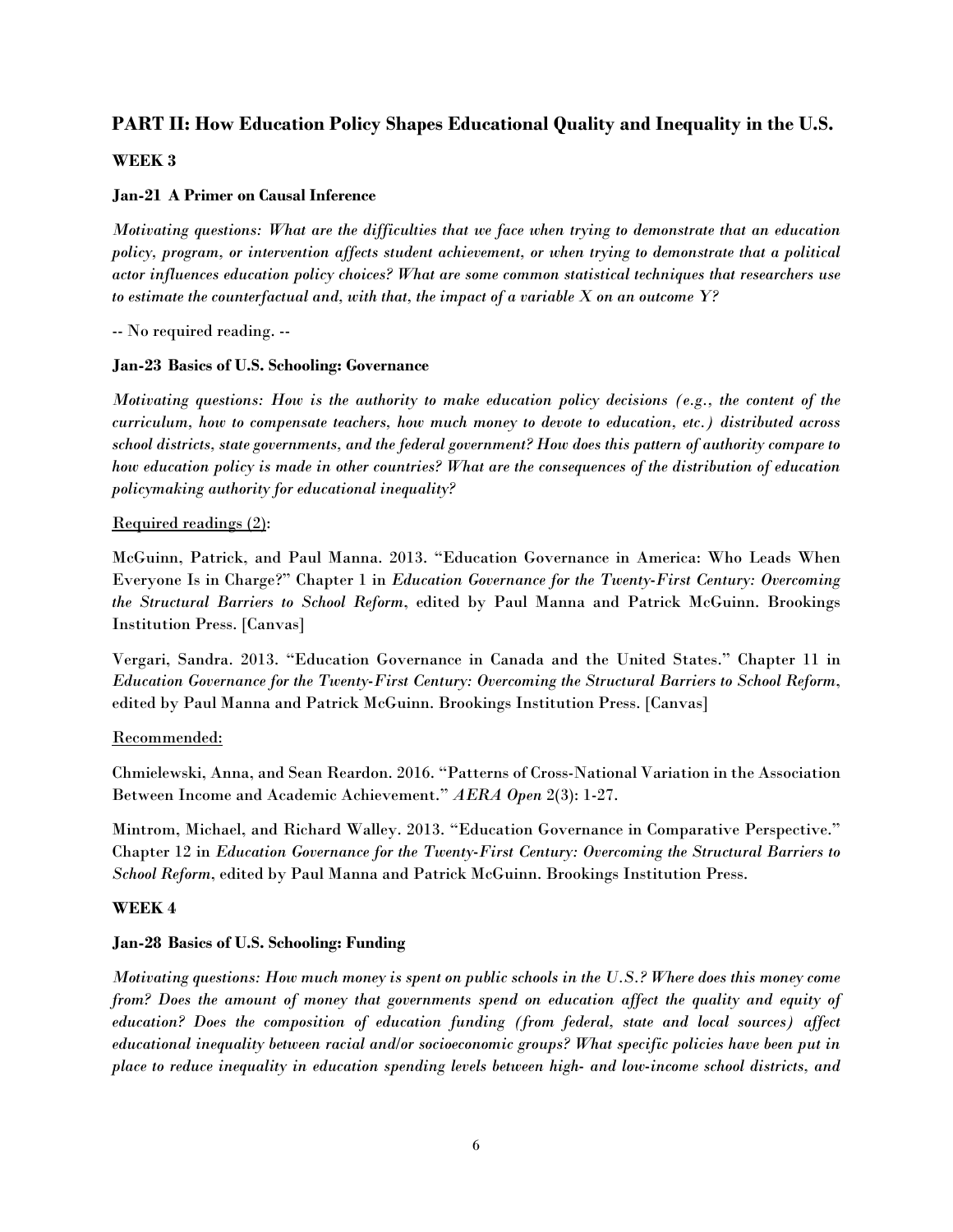# **PART II: How Education Policy Shapes Educational Quality and Inequality in the U.S.**

#### **WEEK 3**

#### **Jan-21 A Primer on Causal Inference**

*Motivating questions: What are the difficulties that we face when trying to demonstrate that an education policy, program, or intervention affects student achievement, or when trying to demonstrate that a political actor influences education policy choices? What are some common statistical techniques that researchers use to estimate the counterfactual and, with that, the impact of a variable X on an outcome Y?*

-- No required reading. --

#### **Jan-23 Basics of U.S. Schooling: Governance**

*Motivating questions: How is the authority to make education policy decisions (e.g., the content of the curriculum, how to compensate teachers, how much money to devote to education, etc.) distributed across school districts, state governments, and the federal government? How does this pattern of authority compare to how education policy is made in other countries? What are the consequences of the distribution of education policymaking authority for educational inequality?*

#### Required readings (2):

McGuinn, Patrick, and Paul Manna. 2013. "Education Governance in America: Who Leads When Everyone Is in Charge?" Chapter 1 in *Education Governance for the Twenty-First Century: Overcoming the Structural Barriers to School Reform*, edited by Paul Manna and Patrick McGuinn. Brookings Institution Press. [Canvas]

Vergari, Sandra. 2013. "Education Governance in Canada and the United States." Chapter 11 in *Education Governance for the Twenty-First Century: Overcoming the Structural Barriers to School Reform*, edited by Paul Manna and Patrick McGuinn. Brookings Institution Press. [Canvas]

#### Recommended:

Chmielewski, Anna, and Sean Reardon. 2016. "Patterns of Cross-National Variation in the Association Between Income and Academic Achievement." *AERA Open* 2(3): 1-27.

Mintrom, Michael, and Richard Walley. 2013. "Education Governance in Comparative Perspective." Chapter 12 in *Education Governance for the Twenty-First Century: Overcoming the Structural Barriers to School Reform*, edited by Paul Manna and Patrick McGuinn. Brookings Institution Press.

#### **WEEK 4**

#### **Jan-28 Basics of U.S. Schooling: Funding**

*Motivating questions: How much money is spent on public schools in the U.S.? Where does this money come from? Does the amount of money that governments spend on education affect the quality and equity of education? Does the composition of education funding (from federal, state and local sources) affect educational inequality between racial and/or socioeconomic groups? What specific policies have been put in place to reduce inequality in education spending levels between high- and low-income school districts, and*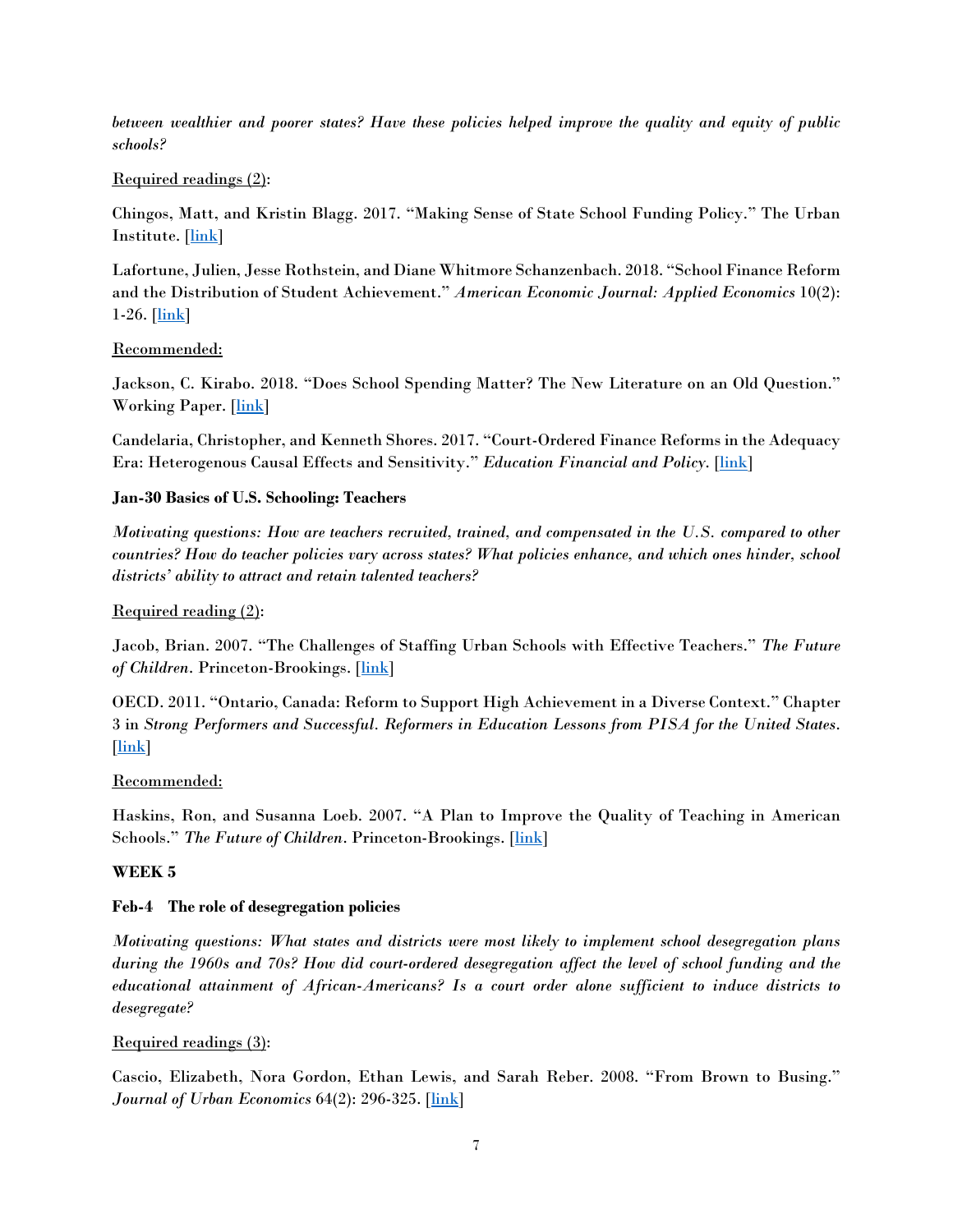*between wealthier and poorer states? Have these policies helped improve the quality and equity of public schools?* 

### Required readings (2):

Chingos, Matt, and Kristin Blagg. 2017. "Making Sense of State School Funding Policy." The Urban Institute. [\[link\]](https://www.urban.org/research/publication/making-sense-state-school-funding-policy/view/full_report)

Lafortune, Julien, Jesse Rothstein, and Diane Whitmore Schanzenbach. 2018. "School Finance Reform and the Distribution of Student Achievement." *American Economic Journal: Applied Economics* 10(2):  $1-26.$  [ $\ln k$ ]

## Recommended:

Jackson, C. Kirabo. 2018. "Does School Spending Matter? The New Literature on an Old Question." Working Paper. [\[link\]](https://works.bepress.com/c_kirabo_jackson/38/)

Candelaria, Christopher, and Kenneth Shores. 2017. "Court-Ordered Finance Reforms in the Adequacy Era: Heterogenous Causal Effects and Sensitivity." *Education Financial and Policy*. [\[link\]](https://www.mitpressjournals.org/doi/abs/10.1162/EDFP_a_00236)

## **Jan-30 Basics of U.S. Schooling: Teachers**

*Motivating questions: How are teachers recruited, trained, and compensated in the U.S. compared to other countries? How do teacher policies vary across states? What policies enhance, and which ones hinder, school districts' ability to attract and retain talented teachers?*

## Required reading (2):

Jacob, Brian. 2007. "The Challenges of Staffing Urban Schools with Effective Teachers." *The Future*  of Children. Princeton-Brookings. [\[link\]](https://files.eric.ed.gov/fulltext/EJ795883.pdf)

OECD. 2011. "Ontario, Canada: Reform to Support High Achievement in a Diverse Context." Chapter 3 in *Strong Performers and Successful. Reformers in Education Lessons from PISA for the United States*. [\[link\]](https://www.oecd.org/pisa/46623978.pdf)

### Recommended:

Haskins, Ron, and Susanna Loeb. 2007. "A Plan to Improve the Quality of Teaching in American Schools." *The Future of Children*. Princeton-Brookings. [\[link\]](https://www.brookings.edu/wp-content/uploads/2016/06/spring_childrenfamilies_haskins.pdf)

### **WEEK 5**

### **Feb-4 The role of desegregation policies**

*Motivating questions: What states and districts were most likely to implement school desegregation plans during the 1960s and 70s? How did court-ordered desegregation affect the level of school funding and the educational attainment of African-Americans? Is a court order alone sufficient to induce districts to desegregate?* 

### Required readings (3):

Cascio, Elizabeth, Nora Gordon, Ethan Lewis, and Sarah Reber. 2008. "From Brown to Busing." *Journal of Urban Economics* 64(2): 296-325. [\[link\]](https://ac.els-cdn.com/S0094119008000053/1-s2.0-S0094119008000053-main.pdf?_tid=e99b1199-6028-4cef-aaf3-7f9cafec893f&acdnat=1541704606_31b17b1532044975961afdaddd1b1950)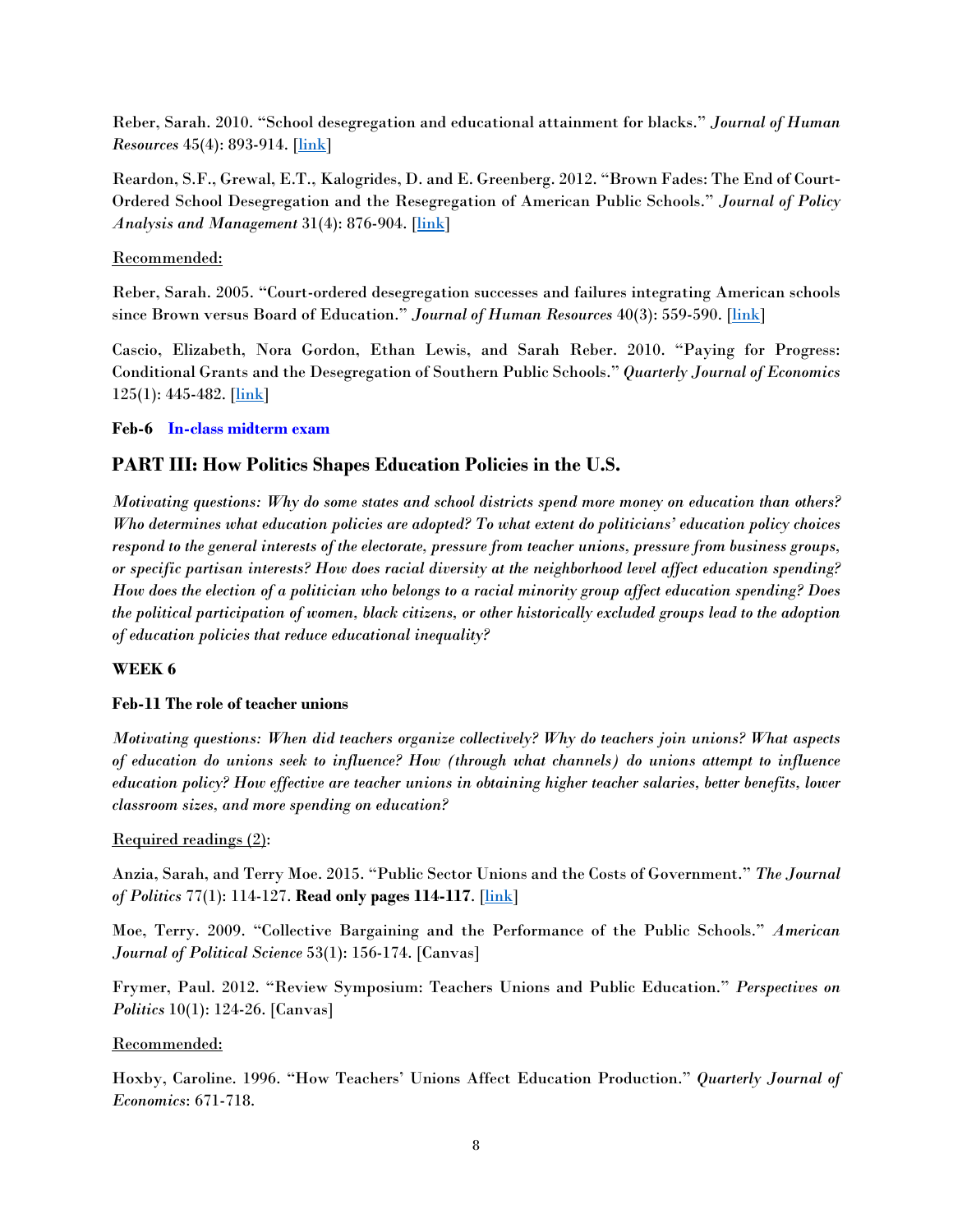Reber, Sarah. 2010. "School desegregation and educational attainment for blacks." *Journal of Human Resources* 45(4): 893-914. [\[link\]](http://jhr.uwpress.org/content/45/4/893.full.pdf?casa_token=kCUpMSNLdg4AAAAA:OJSWSwUinwui_KoBxkulLrmg6TDDXiOmLRFBxM9nZBqY6SEMvgX3l0eyd3YSF708aRVb-eB7)

Reardon, S.F., Grewal, E.T., Kalogrides, D. and E. Greenberg. 2012. "Brown Fades: The End of Court-Ordered School Desegregation and the Resegregation of American Public Schools." *Journal of Policy Analysis and Management* 31(4): 876-904. [\[link\]](https://onlinelibrary.wiley.com/doi/pdf/10.1002/pam.21649)

### Recommended:

Reber, Sarah. 2005. "Court-ordered desegregation successes and failures integrating American schools since Brown versus Board of Education." *Journal of Human Resources* 40(3): 559-590. [\[link\]](http://jhr.uwpress.org/content/XL/3/559.full.pdf?casa_token=kn3FTjv0XL8AAAAA:SrDQ39-0uoMg3EGmFHjN_TwxiHrbA-lSaEFK9Nykk-sfbLUYASt8QgWOmTsBcVyA3Jg-l8Sm)

Cascio, Elizabeth, Nora Gordon, Ethan Lewis, and Sarah Reber. 2010. "Paying for Progress: Conditional Grants and the Desegregation of Southern Public Schools." *Quarterly Journal of Economics*  $125(1): 445-482.$  [\[link\]](https://watermark.silverchair.com/125-1-445.pdf?token=AQECAHi208BE49Ooan9kkhW_Ercy7Dm3ZL_9Cf3qfKAc485ysgAAAlkwggJVBgkqhkiG9w0BBwagggJGMIICQgIBADCCAjsGCSqGSIb3DQEHATAeBglghkgBZQMEAS4wEQQMtPv8PH5x--kA4TlZAgEQgIICDD0YjwCB422ngq5eeqSKnDZgIcWf9xrLkSsjVpzd8_alXCV2E4wn7MktU6sYPy7L1mhnNWcTmWNIvKLFVjCHbJCzK7XIqFGK7LKC2moIVAWglJhCnZQwsiAz5sajEvHuj9uLj01Pjyn8-3rFov9r_UG3k9H4Z4wnQw6nk_tkwPrGA-ijinPFrKe3sGM3e6gl9demzZQ0XJuDTO7gW_oF0sUdngHIRAyeiQWf6pyShlxnRWf6MkiedWDTGV0BlUQZi7mG4M9yk7uw1tgU0NYyjSU94vk1bfsg741kIipCqiUE7fmyxTXCd5DWex9fgx_ih7DVbmTqp0EN7-GVfsUPqZiU_UUBXWsVtWcWbxzu-pAEZY5Ym-LwWiqTu-5nBRJTS_bw-cVyFoalxHjQvfbwb3BklBzsK1P0LLq7x72KsYGZM5MpbK8ZQjElc8aieuHVhuXghz4qsE3VMcZNBUgHUWtap9s21ZsKt_uM_hfFVzCivfSt_KEjmoygq5qhJO2MVM9XmrLLE-L2HkOXuB-twURRJ0FIT1yqB0ogwPwOjPTzRJEfZtRh_TK5r5EqCzRmoASzShDINIZ6b6vprsIk9Y2FiPcAPj_Iv0k1FeFbaZ3yPfJc4tmpMVEDEeBN9E5clEnCng0IMPO_e3mI8FVYt_H18cGywkIs5bJLqDP2cox4R_ZKqPTONe_S1Zuo)

## **Feb-6 In-class midterm exam**

# **PART III: How Politics Shapes Education Policies in the U.S.**

*Motivating questions: Why do some states and school districts spend more money on education than others? Who determines what education policies are adopted? To what extent do politicians' education policy choices respond to the general interests of the electorate, pressure from teacher unions, pressure from business groups, or specific partisan interests? How does racial diversity at the neighborhood level affect education spending? How does the election of a politician who belongs to a racial minority group affect education spending? Does the political participation of women, black citizens, or other historically excluded groups lead to the adoption of education policies that reduce educational inequality?* 

### **WEEK 6**

### **Feb-11 The role of teacher unions**

*Motivating questions: When did teachers organize collectively? Why do teachers join unions? What aspects of education do unions seek to influence? How (through what channels) do unions attempt to influence education policy? How effective are teacher unions in obtaining higher teacher salaries, better benefits, lower classroom sizes, and more spending on education?* 

### Required readings (2):

Anzia, Sarah, and Terry Moe. 2015. "Public Sector Unions and the Costs of Government." *The Journal of Politics* 77(1): 114-127. **Read only pages 114-117**. [\[link\]](https://www.journals.uchicago.edu/doi/pdfplus/10.1086/678311)

Moe, Terry. 2009. "Collective Bargaining and the Performance of the Public Schools." *American Journal of Political Science* 53(1): 156-174. [Canvas]

Frymer, Paul. 2012. "Review Symposium: Teachers Unions and Public Education." *Perspectives on Politics* 10(1): 124-26. [Canvas]

### Recommended:

Hoxby, Caroline. 1996. "How Teachers' Unions Affect Education Production." *Quarterly Journal of Economics*: 671-718.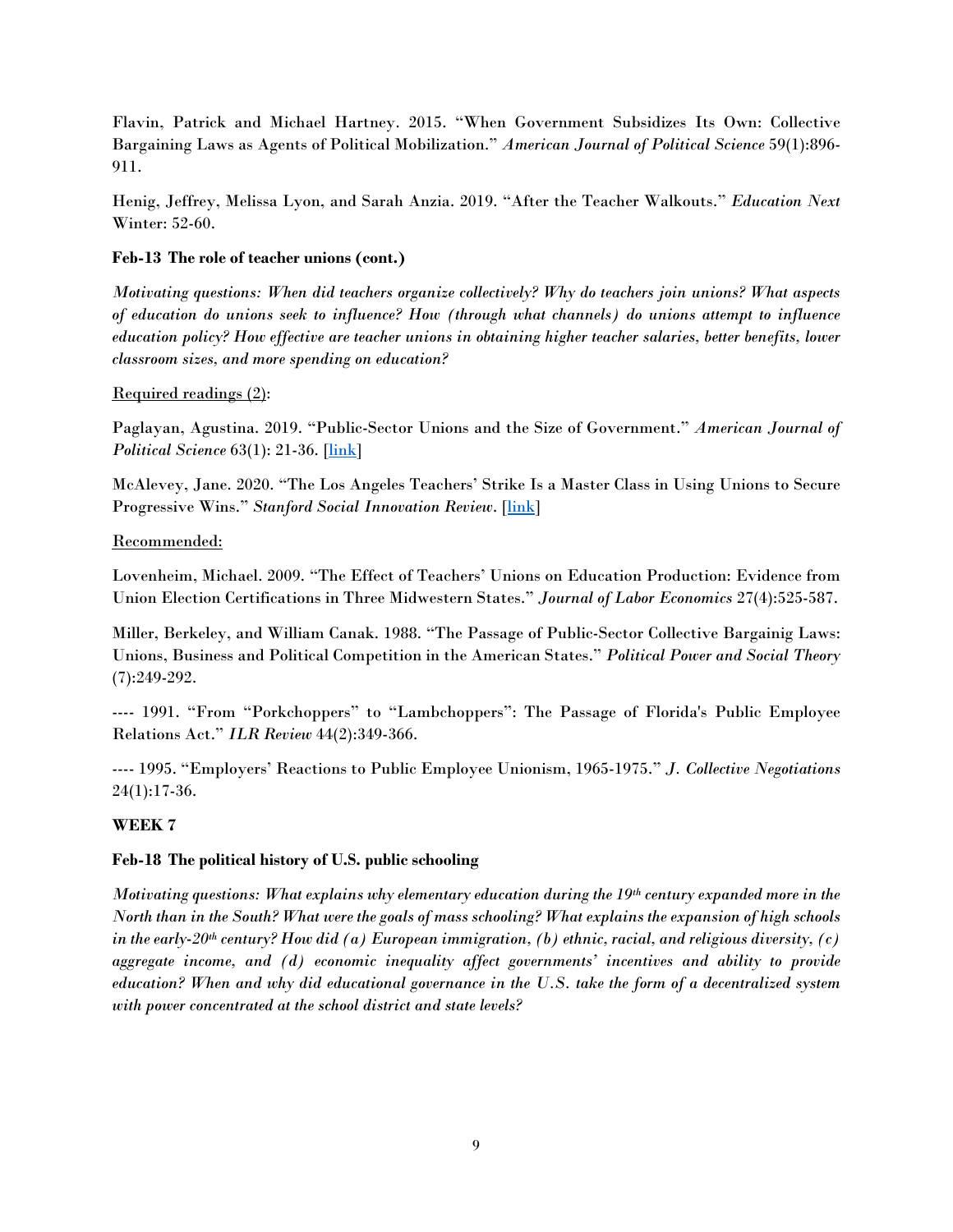Flavin, Patrick and Michael Hartney. 2015. "When Government Subsidizes Its Own: Collective Bargaining Laws as Agents of Political Mobilization." *American Journal of Political Science* 59(1):896- 911.

Henig, Jeffrey, Melissa Lyon, and Sarah Anzia. 2019. "After the Teacher Walkouts." *Education Next* Winter: 52-60.

### **Feb-13 The role of teacher unions (cont.)**

*Motivating questions: When did teachers organize collectively? Why do teachers join unions? What aspects of education do unions seek to influence? How (through what channels) do unions attempt to influence education policy? How effective are teacher unions in obtaining higher teacher salaries, better benefits, lower classroom sizes, and more spending on education?* 

### Required readings (2):

Paglayan, Agustina. 2019. "Public-Sector Unions and the Size of Government." *American Journal of Political Science* 63(1): 21-36. [\[link\]](https://docs.wixstatic.com/ugd/a763a0_3703edea889f4b19bd0686a293369b28.pdf)

McAlevey, Jane. 2020. "The Los Angeles Teachers' Strike Is a Master Class in Using Unions to Secure Progressive Wins." *Stanford Social Innovation Review*. [\[link\]](https://ssir.org/articles/entry/the_los_angeles_teachers_strike_is_a_master_class_in_using_unions_to_secure_progressive_wins)

## Recommended:

Lovenheim, Michael. 2009. "The Effect of Teachers' Unions on Education Production: Evidence from Union Election Certifications in Three Midwestern States." *Journal of Labor Economics* 27(4):525-587.

Miller, Berkeley, and William Canak. 1988. "The Passage of Public-Sector Collective Bargainig Laws: Unions, Business and Political Competition in the American States." *Political Power and Social Theory* (7):249-292.

---- 1991. "From "Porkchoppers" to "Lambchoppers": The Passage of Florida's Public Employee Relations Act." *ILR Review* 44(2):349-366.

---- 1995. "Employers' Reactions to Public Employee Unionism, 1965-1975." *J. Collective Negotiations* 24(1):17-36.

## **WEEK 7**

### **Feb-18 The political history of U.S. public schooling**

*Motivating questions: What explains why elementary education during the 19th century expanded more in the North than in the South? What were the goals of mass schooling? What explains the expansion of high schools in the early-20th century? How did (a) European immigration, (b) ethnic, racial, and religious diversity, (c) aggregate income, and (d) economic inequality affect governments' incentives and ability to provide education? When and why did educational governance in the U.S. take the form of a decentralized system with power concentrated at the school district and state levels?*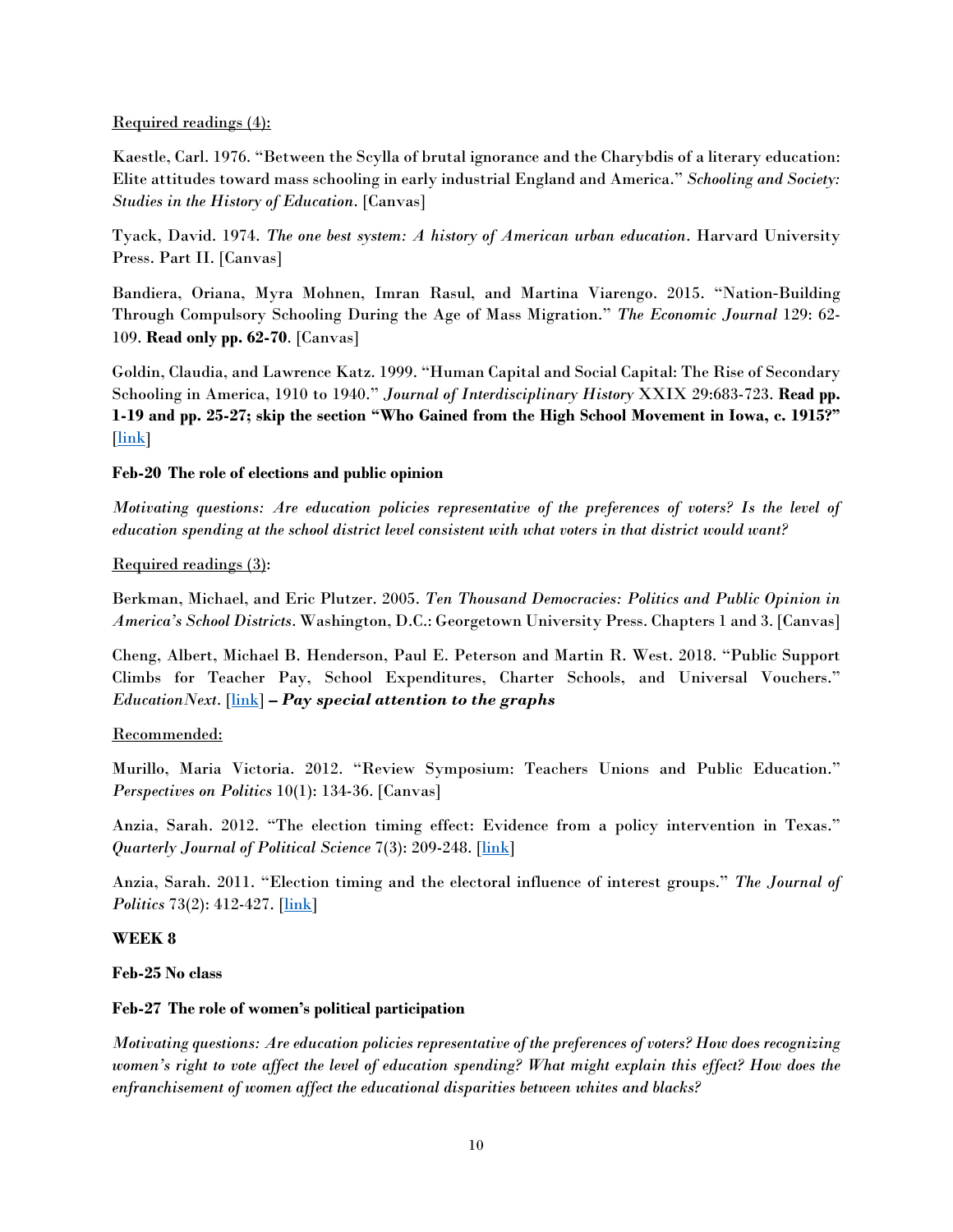#### Required readings (4):

Kaestle, Carl. 1976. "Between the Scylla of brutal ignorance and the Charybdis of a literary education: Elite attitudes toward mass schooling in early industrial England and America." *Schooling and Society: Studies in the History of Education*. [Canvas]

Tyack, David. 1974. *The one best system: A history of American urban education*. Harvard University Press. Part II. [Canvas]

Bandiera, Oriana, Myra Mohnen, Imran Rasul, and Martina Viarengo. 2015. "Nation‐Building Through Compulsory Schooling During the Age of Mass Migration." *The Economic Journal* 129: 62- 109. **Read only pp. 62-70**. [Canvas]

Goldin, Claudia, and Lawrence Katz. 1999. "Human Capital and Social Capital: The Rise of Secondary Schooling in America, 1910 to 1940." *Journal of Interdisciplinary History* XXIX 29:683-723. **Read pp. 1-19 and pp. 25-27; skip the section "Who Gained from the High School Movement in Iowa, c. 1915?"** [\[link\]](https://scholar.harvard.edu/files/goldin/files/human_capital.pdf)

### **Feb-20 The role of elections and public opinion**

*Motivating questions: Are education policies representative of the preferences of voters? Is the level of education spending at the school district level consistent with what voters in that district would want?* 

### Required readings (3):

Berkman, Michael, and Eric Plutzer. 2005. *Ten Thousand Democracies: Politics and Public Opinion in America's School Districts*. Washington, D.C.: Georgetown University Press. Chapters 1 and 3. [Canvas]

Cheng, Albert, Michael B. Henderson, Paul E. Peterson and Martin R. West. 2018. "Public Support Climbs for Teacher Pay, School Expenditures, Charter Schools, and Universal Vouchers." *EducationNext*. [\[link\]](https://www.educationnext.org/public-support-climbs-teacher-pay-school-expenditures-charter-schools-universal-vouchers-2018-ednext-poll/) **–** *Pay special attention to the graphs*

### Recommended:

Murillo, Maria Victoria. 2012. "Review Symposium: Teachers Unions and Public Education." *Perspectives on Politics* 10(1): 134-36. [Canvas]

Anzia, Sarah. 2012. "The election timing effect: Evidence from a policy intervention in Texas." *Quarterly Journal of Political Science* 7(3): 209-248. [\[link\]](https://gspp.berkeley.edu/assets/uploads/research/pdf/Anzia_Texas_1_16_12.pdf)

Anzia, Sarah. 2011. "Election timing and the electoral influence of interest groups." *The Journal of Politics* 73(2): 412-427. [\[link\]](https://www.journals.uchicago.edu/doi/pdfplus/10.1017/S0022381611000028)

### **WEEK 8**

**Feb-25 No class**

### **Feb-27 The role of women's political participation**

*Motivating questions: Are education policies representative of the preferences of voters? How does recognizing women's right to vote affect the level of education spending? What might explain this effect? How does the enfranchisement of women affect the educational disparities between whites and blacks?*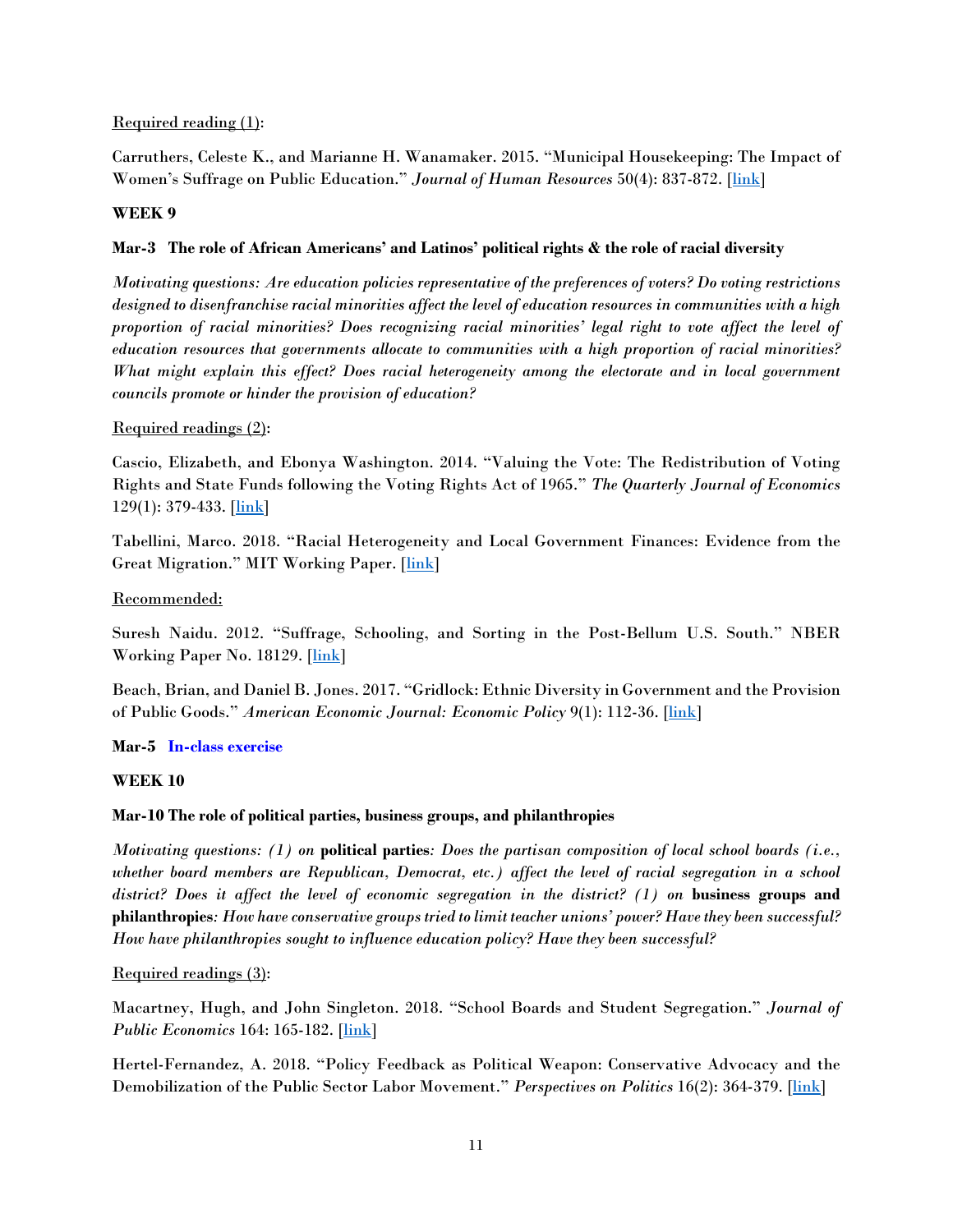#### Required reading (1):

Carruthers, Celeste K., and Marianne H. Wanamaker. 2015. "Municipal Housekeeping: The Impact of Women's Suffrage on Public Education." *Journal of Human Resources* 50(4): 837-872. [\[link\]](https://muse.jhu.edu/article/597479/pdf)

#### **WEEK 9**

### **Mar-3 The role of African Americans' and Latinos' political rights & the role of racial diversity**

*Motivating questions: Are education policies representative of the preferences of voters? Do voting restrictions designed to disenfranchise racial minorities affect the level of education resources in communities with a high proportion of racial minorities? Does recognizing racial minorities' legal right to vote affect the level of education resources that governments allocate to communities with a high proportion of racial minorities? What might explain this effect? Does racial heterogeneity among the electorate and in local government councils promote or hinder the provision of education?* 

### Required readings (2):

Cascio, Elizabeth, and Ebonya Washington. 2014. "Valuing the Vote: The Redistribution of Voting Rights and State Funds following the Voting Rights Act of 1965." *The Quarterly Journal of Economics*  $129(1): 379-433.$  [ $\underline{link}$ ]

Tabellini, Marco. 2018. "Racial Heterogeneity and Local Government Finances: Evidence from the Great Migration." MIT Working Paper. [\[link\]](https://economics.mit.edu/files/13074)

### Recommended:

Suresh Naidu. 2012. "Suffrage, Schooling, and Sorting in the Post-Bellum U.S. South." NBER Working Paper No. 18129. [\[link\]](http://tuvalu.santafe.edu/%7Esnaidu/papers/suffrage_sept_16_2010_combined.pdf)

Beach, Brian, and Daniel B. Jones. 2017. "Gridlock: Ethnic Diversity in Government and the Provision of Public Goods." *American Economic Journal: Economic Policy* 9(1): 112-36. [\[link\]](http://bbbeach.people.wm.edu/Publications/2017_Gridlock_AEJP.pdf)

**Mar-5 In-class exercise**

### **WEEK 10**

### **Mar-10 The role of political parties, business groups, and philanthropies**

*Motivating questions: (1) on* **political parties***: Does the partisan composition of local school boards (i.e., whether board members are Republican, Democrat, etc.) affect the level of racial segregation in a school*  district? Does it affect the level of economic segregation in the district? (1) on **business groups and philanthropies***: How have conservative groups tried to limit teacher unions' power? Have they been successful? How have philanthropies sought to influence education policy? Have they been successful?*

### Required readings (3):

Macartney, Hugh, and John Singleton. 2018. "School Boards and Student Segregation." *Journal of Public Economics* 164: 165-182. [\[link\]](https://hughmacartney.com/MacartneySingleton2017.pdf)

Hertel-Fernandez, A. 2018. "Policy Feedback as Political Weapon: Conservative Advocacy and the Demobilization of the Public Sector Labor Movement." *Perspectives on Politics* 16(2): 364-379. [\[link\]](https://csap.yale.edu/sites/default/files/files/apppw_2_22_17.pdf)